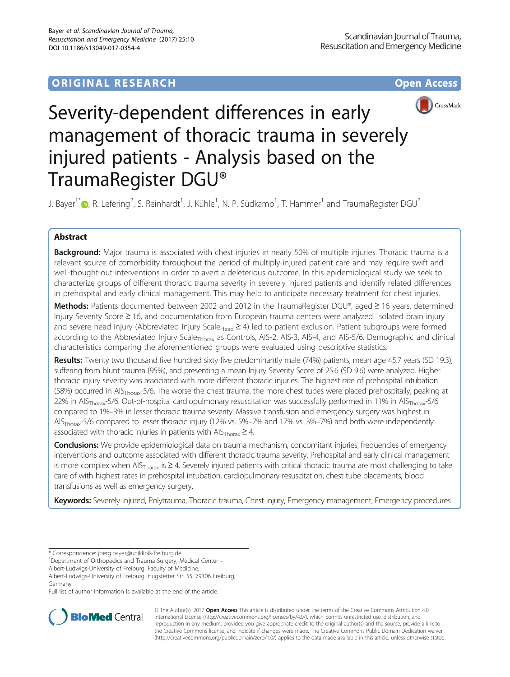# **ORIGINAL RESEARCH CONSUMING ACCESS**



# Severity-dependent differences in early management of thoracic trauma in severely injured patients - Analysis based on the TraumaRegister DGU®

J. Bayer<sup>1[\\*](http://orcid.org/0000-0001-5446-6840)</sup>®, R. Lefering<sup>2</sup>, S. Reinhardt<sup>1</sup>, J. Kühle<sup>1</sup>, N. P. Südkamp<sup>1</sup>, T. Hammer<sup>1</sup> and TraumaRegister DGU<sup>3</sup>

# Abstract

Background: Major trauma is associated with chest injuries in nearly 50% of multiple injuries. Thoracic trauma is a relevant source of comorbidity throughout the period of multiply-injured patient care and may require swift and well-thought-out interventions in order to avert a deleterious outcome. In this epidemiological study we seek to characterize groups of different thoracic trauma severity in severely injured patients and identify related differences in prehospital and early clinical management. This may help to anticipate necessary treatment for chest injuries.

Methods: Patients documented between 2002 and 2012 in the TraumaRegister DGU®, aged ≥ 16 years, determined Injury Severity Score ≥ 16, and documentation from European trauma centers were analyzed. Isolated brain injury and severe head injury (Abbreviated Injury Scale<sub>Head</sub>  $\geq$  4) led to patient exclusion. Patient subgroups were formed according to the Abbreviated Injury Scale<sub>Thorax</sub> as Controls, AIS-2, AIS-3, AIS-4, and AIS-5/6. Demographic and clinical characteristics comparing the aforementioned groups were evaluated using descriptive statistics.

Results: Twenty two thousand five hundred sixty five predominantly male (74%) patients, mean age 45.7 years (SD 19.3), suffering from blunt trauma (95%), and presenting a mean Injury Severity Score of 25.6 (SD 9.6) were analyzed. Higher thoracic injury severity was associated with more different thoracic injuries. The highest rate of prehospital intubation (58%) occurred in AIS<sub>Thorax</sub>-5/6. The worse the chest trauma, the more chest tubes were placed prehospitally, peaking at 22% in AIS<sub>Thorax</sub>-5/6. Out-of-hospital cardiopulmonary resuscitation was successfully performed in 11% in AIS<sub>Thorax</sub>-5/6 compared to 1%–3% in lesser thoracic trauma severity. Massive transfusion and emergency surgery was highest in AIS<sub>Thorax</sub>-5/6 compared to lesser thoracic injury (12% vs. 5%–7% and 17% vs. 3%–7%) and both were independently associated with thoracic injuries in patients with  $\text{AIS}_{\text{Thorax}} \geq 4$ .

Conclusions: We provide epidemiological data on trauma mechanism, concomitant injuries, frequencies of emergency interventions and outcome associated with different thoracic trauma severity. Prehospital and early clinical management is more complex when AIS<sub>Thorax</sub> is  $\geq$  4. Severely injured patients with critical thoracic trauma are most challenging to take care of with highest rates in prehospital intubation, cardiopulmonary resuscitation, chest tube placements, blood transfusions as well as emergency surgery.

Keywords: Severely injured, Polytrauma, Thoracic trauma, Chest injury, Emergency management, Emergency procedures

<sup>1</sup>Department of Orthopedics and Trauma Surgery, Medical Center –

Albert-Ludwigs-University of Freiburg, Faculty of Medicine,

Full list of author information is available at the end of the article



© The Author(s). 2017 **Open Access** This article is distributed under the terms of the Creative Commons Attribution 4.0 International License [\(http://creativecommons.org/licenses/by/4.0/](http://creativecommons.org/licenses/by/4.0/)), which permits unrestricted use, distribution, and reproduction in any medium, provided you give appropriate credit to the original author(s) and the source, provide a link to the Creative Commons license, and indicate if changes were made. The Creative Commons Public Domain Dedication waiver [\(http://creativecommons.org/publicdomain/zero/1.0/](http://creativecommons.org/publicdomain/zero/1.0/)) applies to the data made available in this article, unless otherwise stated.

<sup>\*</sup> Correspondence: [joerg.bayer@uniklinik-freiburg.de](mailto:joerg.bayer@uniklinik-freiburg.de) <sup>1</sup>

Albert-Ludwigs-University of Freiburg, Hugstetter Str. 55, 79106 Freiburg, Germany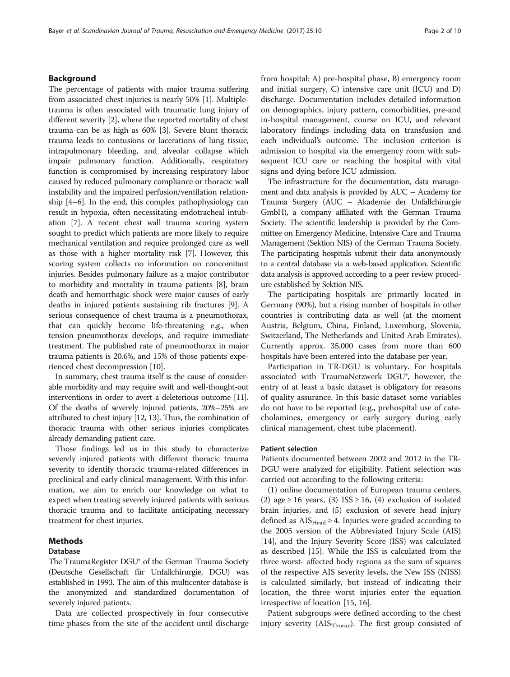## Background

The percentage of patients with major trauma suffering from associated chest injuries is nearly 50% [[1](#page-8-0)]. Multipletrauma is often associated with traumatic lung injury of different severity [\[2\]](#page-8-0), where the reported mortality of chest trauma can be as high as 60% [\[3](#page-8-0)]. Severe blunt thoracic trauma leads to contusions or lacerations of lung tissue, intrapulmonary bleeding, and alveolar collapse which impair pulmonary function. Additionally, respiratory function is compromised by increasing respiratory labor caused by reduced pulmonary compliance or thoracic wall instability and the impaired perfusion/ventilation relationship [[4](#page-8-0)–[6](#page-8-0)]. In the end, this complex pathophysiology can result in hypoxia, often necessitating endotracheal intubation [[7\]](#page-8-0). A recent chest wall trauma scoring system sought to predict which patients are more likely to require mechanical ventilation and require prolonged care as well as those with a higher mortality risk [[7](#page-8-0)]. However, this scoring system collects no information on concomitant injuries. Besides pulmonary failure as a major contributor to morbidity and mortality in trauma patients [[8](#page-8-0)], brain death and hemorrhagic shock were major causes of early deaths in injured patients sustaining rib fractures [\[9](#page-8-0)]. A serious consequence of chest trauma is a pneumothorax, that can quickly become life-threatening e.g., when tension pneumothorax develops, and require immediate treatment. The published rate of pneumothorax in major trauma patients is 20.6%, and 15% of those patients experienced chest decompression [[10\]](#page-8-0).

In summary, chest trauma itself is the cause of considerable morbidity and may require swift and well-thought-out interventions in order to avert a deleterious outcome [\[11](#page-8-0)]. Of the deaths of severely injured patients, 20%–25% are attributed to chest injury [\[12, 13](#page-8-0)]. Thus, the combination of thoracic trauma with other serious injuries complicates already demanding patient care.

Those findings led us in this study to characterize severely injured patients with different thoracic trauma severity to identify thoracic trauma-related differences in preclinical and early clinical management. With this information, we aim to enrich our knowledge on what to expect when treating severely injured patients with serious thoracic trauma and to facilitate anticipating necessary treatment for chest injuries.

#### Methods

#### Database

The TraumaRegister DGU® of the German Trauma Society (Deutsche Gesellschaft für Unfallchirurgie, DGU) was established in 1993. The aim of this multicenter database is the anonymized and standardized documentation of severely injured patients.

Data are collected prospectively in four consecutive time phases from the site of the accident until discharge from hospital: A) pre-hospital phase, B) emergency room and initial surgery, C) intensive care unit (ICU) and D) discharge. Documentation includes detailed information on demographics, injury pattern, comorbidities, pre-and in-hospital management, course on ICU, and relevant laboratory findings including data on transfusion and each individual's outcome. The inclusion criterion is admission to hospital via the emergency room with subsequent ICU care or reaching the hospital with vital signs and dying before ICU admission.

The infrastructure for the documentation, data management and data analysis is provided by AUC – Academy for Trauma Surgery (AUC – Akademie der Unfallchirurgie GmbH), a company affiliated with the German Trauma Society. The scientific leadership is provided by the Committee on Emergency Medicine, Intensive Care and Trauma Management (Sektion NIS) of the German Trauma Society. The participating hospitals submit their data anonymously to a central database via a web-based application. Scientific data analysis is approved according to a peer review procedure established by Sektion NIS.

The participating hospitals are primarily located in Germany (90%), but a rising number of hospitals in other countries is contributing data as well (at the moment Austria, Belgium, China, Finland, Luxemburg, Slovenia, Switzerland, The Netherlands and United Arab Emirates). Currently approx. 35,000 cases from more than 600 hospitals have been entered into the database per year.

Participation in TR-DGU is voluntary. For hospitals associated with TraumaNetzwerk DGU®, however, the entry of at least a basic dataset is obligatory for reasons of quality assurance. In this basic dataset some variables do not have to be reported (e.g., prehospital use of catecholamines, emergency or early surgery during early clinical management, chest tube placement).

#### Patient selection

Patients documented between 2002 and 2012 in the TR-DGU were analyzed for eligibility. Patient selection was carried out according to the following criteria:

(1) online documentation of European trauma centers, (2) age  $\geq$  16 years, (3) ISS  $\geq$  16, (4) exclusion of isolated brain injuries, and (5) exclusion of severe head injury defined as  $\text{AIS}_{\text{Head}} \geq 4$ . Injuries were graded according to the 2005 version of the Abbreviated Injury Scale (AIS) [[14\]](#page-8-0), and the Injury Severity Score (ISS) was calculated as described [\[15](#page-8-0)]. While the ISS is calculated from the three worst- affected body regions as the sum of squares of the respective AIS severity levels, the New ISS (NISS) is calculated similarly, but instead of indicating their location, the three worst injuries enter the equation irrespective of location [\[15](#page-8-0), [16](#page-8-0)].

Patient subgroups were defined according to the chest injury severity ( $\text{AIS}_{\text{Thorax}}$ ). The first group consisted of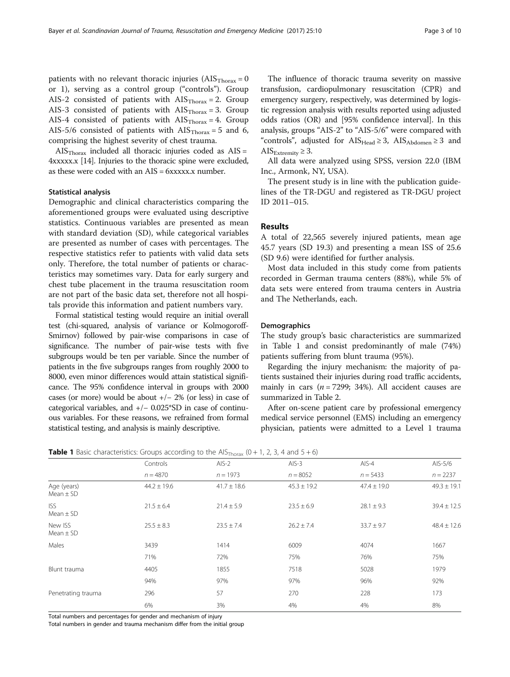patients with no relevant thoracic injuries  $(AIS<sub>Thorax</sub> = 0$ or 1), serving as a control group ("controls"). Group AIS-2 consisted of patients with  $\text{AIS}_{\text{Thoray}} = 2$ . Group AIS-3 consisted of patients with  $\text{AIS}_{\text{Thoray}} = 3$ . Group AIS-4 consisted of patients with  $\text{AIS}_{\text{Thorax}} = 4$ . Group AIS-5/6 consisted of patients with  $\text{AIS}_{\text{Thorax}} = 5$  and 6, comprising the highest severity of chest trauma.

 $\text{AIS}_{\text{Thorax}}$  included all thoracic injuries coded as  $\text{AIS} =$ 4xxxxx.x [\[14\]](#page-8-0). Injuries to the thoracic spine were excluded, as these were coded with an  $AIS = 6xxxxx$ , number.

## Statistical analysis

Demographic and clinical characteristics comparing the aforementioned groups were evaluated using descriptive statistics. Continuous variables are presented as mean with standard deviation (SD), while categorical variables are presented as number of cases with percentages. The respective statistics refer to patients with valid data sets only. Therefore, the total number of patients or characteristics may sometimes vary. Data for early surgery and chest tube placement in the trauma resuscitation room are not part of the basic data set, therefore not all hospitals provide this information and patient numbers vary.

Formal statistical testing would require an initial overall test (chi-squared, analysis of variance or Kolmogoroff-Smirnov) followed by pair-wise comparisons in case of significance. The number of pair-wise tests with five subgroups would be ten per variable. Since the number of patients in the five subgroups ranges from roughly 2000 to 8000, even minor differences would attain statistical significance. The 95% confidence interval in groups with 2000 cases (or more) would be about +/− 2% (or less) in case of categorical variables, and +/− 0.025\*SD in case of continuous variables. For these reasons, we refrained from formal statistical testing, and analysis is mainly descriptive.

The influence of thoracic trauma severity on massive transfusion, cardiopulmonary resuscitation (CPR) and emergency surgery, respectively, was determined by logistic regression analysis with results reported using adjusted odds ratios (OR) and [95% confidence interval]. In this analysis, groups "AIS-2" to "AIS-5/6" were compared with "controls", adjusted for  $\text{AIS}_{\text{Head}} \geq 3$ ,  $\text{AIS}_{\text{Abdomen}} \geq 3$  and AIS $_{Extremity} \geq 3$ .

All data were analyzed using SPSS, version 22.0 (IBM Inc., Armonk, NY, USA).

The present study is in line with the publication guidelines of the TR-DGU and registered as TR-DGU project ID 2011–015.

# Results

A total of 22,565 severely injured patients, mean age 45.7 years (SD 19.3) and presenting a mean ISS of 25.6 (SD 9.6) were identified for further analysis.

Most data included in this study come from patients recorded in German trauma centers (88%), while 5% of data sets were entered from trauma centers in Austria and The Netherlands, each.

#### **Demographics**

The study group's basic characteristics are summarized in Table 1 and consist predominantly of male (74%) patients suffering from blunt trauma (95%).

Regarding the injury mechanism: the majority of patients sustained their injuries during road traffic accidents, mainly in cars ( $n = 7299$ ; 34%). All accident causes are summarized in Table [2](#page-3-0).

After on-scene patient care by professional emergency medical service personnel (EMS) including an emergency physician, patients were admitted to a Level 1 trauma

|                              | Controls        | $AIS-2$         | $AIS-3$         | AIS-4           | AIS-5/6         |
|------------------------------|-----------------|-----------------|-----------------|-----------------|-----------------|
|                              |                 |                 |                 |                 |                 |
|                              | $n = 4870$      | $n = 1973$      | $n = 8052$      | $n = 5433$      | $n = 2237$      |
| Age (years)<br>$Mean \pm SD$ | $44.2 \pm 19.6$ | $41.7 \pm 18.6$ | $45.3 \pm 19.2$ | $47.4 \pm 19.0$ | $49.3 \pm 19.1$ |
| <b>ISS</b><br>Mean $\pm$ SD  | $21.5 \pm 6.4$  | $21.4 \pm 5.9$  | $23.5 \pm 6.9$  | $28.1 \pm 9.3$  | $39.4 \pm 12.5$ |
| New ISS<br>$Mean \pm SD$     | $25.5 \pm 8.3$  | $23.5 \pm 7.4$  | $26.2 \pm 7.4$  | $33.7 \pm 9.7$  | $48.4 \pm 12.6$ |
| Males                        | 3439            | 1414            | 6009            | 4074            | 1667            |
|                              | 71%             | 72%             | 75%             | 76%             | 75%             |
| Blunt trauma                 | 4405            | 1855            | 7518            | 5028            | 1979            |
|                              | 94%             | 97%             | 97%             | 96%             | 92%             |
| Penetrating trauma           | 296             | 57              | 270             | 228             | 173             |
|                              | 6%              | 3%              | 4%              | 4%              | 8%              |

**Table 1** Basic characteristics: Groups according to the AIS<sub>Thorax</sub> (0 + 1, 2, 3, 4 and 5 + 6)

Total numbers and percentages for gender and mechanism of injury

Total numbers in gender and trauma mechanism differ from the initial group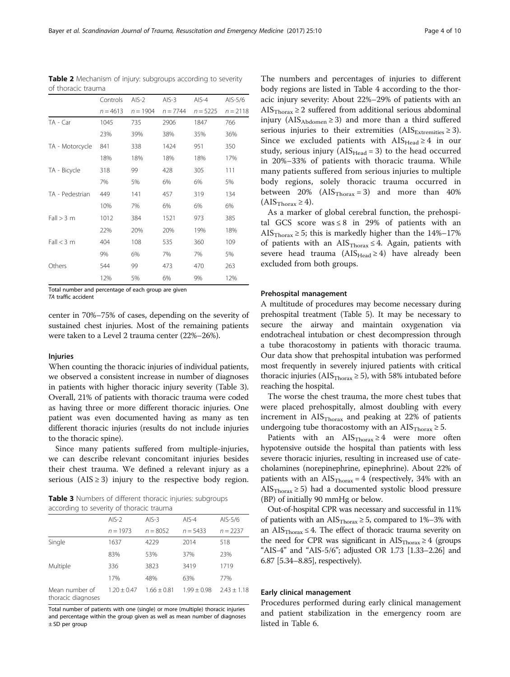<span id="page-3-0"></span>Bayer et al. Scandinavian Journal of Trauma, Resuscitation and Emergency Medicine (2017) 25:10 Page 4 of 10

|                 | Controls   | $AIS-2$    | $AIS-3$    | $AIS-4$    | AIS-5/6    |
|-----------------|------------|------------|------------|------------|------------|
|                 | $n = 4613$ | $n = 1904$ | $n = 7744$ | $n = 5225$ | $n = 2118$ |
| $TA - Car$      | 1045       | 735        | 2906       | 1847       | 766        |
|                 | 23%        | 39%        | 38%        | 35%        | 36%        |
| TA - Motorcycle | 841        | 338        | 1424       | 951        | 350        |
|                 | 18%        | 18%        | 18%        | 18%        | 17%        |
| TA - Bicycle    | 318        | 99         | 428        | 305        | 111        |
|                 | 7%         | 5%         | 6%         | 6%         | 5%         |
| TA - Pedestrian | 449        | 141        | 457        | 319        | 134        |
|                 | 10%        | 7%         | 6%         | 6%         | 6%         |
| Fall > 3 m      | 1012       | 384        | 1521       | 973        | 385        |
|                 | 22%        | 20%        | 20%        | 19%        | 18%        |
| Fall < 3 m      | 404        | 108        | 535        | 360        | 109        |
|                 | 9%         | 6%         | 7%         | 7%         | 5%         |
| Others          | 544        | 99         | 473        | 470        | 263        |
|                 | 12%        | 5%         | 6%         | 9%         | 12%        |

Table 2 Mechanism of injury: subgroups according to severity of thoracic trauma

Total number and percentage of each group are given TA traffic accident

center in 70%–75% of cases, depending on the severity of sustained chest injuries. Most of the remaining patients were taken to a Level 2 trauma center (22%–26%).

#### Injuries

When counting the thoracic injuries of individual patients, we observed a consistent increase in number of diagnoses in patients with higher thoracic injury severity (Table 3). Overall, 21% of patients with thoracic trauma were coded as having three or more different thoracic injuries. One patient was even documented having as many as ten different thoracic injuries (results do not include injuries to the thoracic spine).

Since many patients suffered from multiple-injuries, we can describe relevant concomitant injuries besides their chest trauma. We defined a relevant injury as a serious ( $AIS \ge 3$ ) injury to the respective body region.

Table 3 Numbers of different thoracic injuries: subgroups according to severity of thoracic trauma

|                                      | $AIS-2$       | $AIS-3$       | $AIS-4$       | AIS-5/6       |
|--------------------------------------|---------------|---------------|---------------|---------------|
|                                      | $n = 1973$    | $n = 8052$    | $n = 5433$    | $n = 2237$    |
| Single                               | 1637          | 4229          | 2014          | 518           |
|                                      | 83%           | 53%           | 37%           | 23%           |
| Multiple                             | 336           | 3823          | 3419          | 1719          |
|                                      | 17%           | 48%           | 63%           | 77%           |
| Mean number of<br>thoracic diagnoses | $1.20 + 0.47$ | $1.66 + 0.81$ | $1.99 + 0.98$ | $2.43 + 1.18$ |

Total number of patients with one (single) or more (multiple) thoracic injuries and percentage within the group given as well as mean number of diagnoses ± SD per group

The numbers and percentages of injuries to different body regions are listed in Table [4](#page-4-0) according to the thoracic injury severity: About 22%–29% of patients with an AIS $_{\text{Thorax}} \geq 2$  suffered from additional serious abdominal injury ( $AIS_{Abdomen} \geq 3$ ) and more than a third suffered serious injuries to their extremities  $(AIS_{Extremities} \geq 3)$ . Since we excluded patients with  $\text{AIS}_{\text{Head}} \geq 4$  in our study, serious injury  $(AIS_{Head} = 3)$  to the head occurred in 20%–33% of patients with thoracic trauma. While many patients suffered from serious injuries to multiple body regions, solely thoracic trauma occurred in between  $20\%$  (AIS<sub>Thorax</sub> = 3) and more than  $40\%$  $(AIS<sub>Thorax</sub> \ge 4).$ 

As a marker of global cerebral function, the prehospital GCS score was  $\leq 8$  in 29% of patients with an AIS $_{\text{Thorax}} \geq 5$ ; this is markedly higher than the 14%–17% of patients with an  $\text{AIS}_{\text{Thorax}} \leq 4$ . Again, patients with severe head trauma ( $AIS_{Head} \ge 4$ ) have already been excluded from both groups.

#### Prehospital management

A multitude of procedures may become necessary during prehospital treatment (Table [5\)](#page-4-0). It may be necessary to secure the airway and maintain oxygenation via endotracheal intubation or chest decompression through a tube thoracostomy in patients with thoracic trauma. Our data show that prehospital intubation was performed most frequently in severely injured patients with critical thoracic injuries (AIS $_{\text{Thorax}} \geq 5$ ), with 58% intubated before reaching the hospital.

The worse the chest trauma, the more chest tubes that were placed prehospitally, almost doubling with every increment in  $\text{AIS}_{\text{Thorax}}$  and peaking at 22% of patients undergoing tube thoracostomy with an  $\text{AIS}_{\text{Thorax}} \geq 5$ .

Patients with an  $\text{AIS}_{\text{Thorax}} \geq 4$  were more often hypotensive outside the hospital than patients with less severe thoracic injuries, resulting in increased use of catecholamines (norepinephrine, epinephrine). About 22% of patients with an  $\text{AIS}_{\text{Thorax}} = 4$  (respectively, 34% with an AIS $_{\text{Thorax}} \geq 5$ ) had a documented systolic blood pressure (BP) of initially 90 mmHg or below.

Out-of-hospital CPR was necessary and successful in 11% of patients with an AIS $_{\text{Thorax}} \geq 5$ , compared to 1%–3% with an  $\text{AIS}_{\text{Thorax}} \leq 4$ . The effect of thoracic trauma severity on the need for CPR was significant in  $\text{AIS}_{\text{Thorax}} \geq 4$  (groups "AIS-4" and "AIS-5/6"; adjusted OR 1.73 [1.33–2.26] and 6.87 [5.34–8.85], respectively).

#### Early clinical management

Procedures performed during early clinical management and patient stabilization in the emergency room are listed in Table [6](#page-5-0).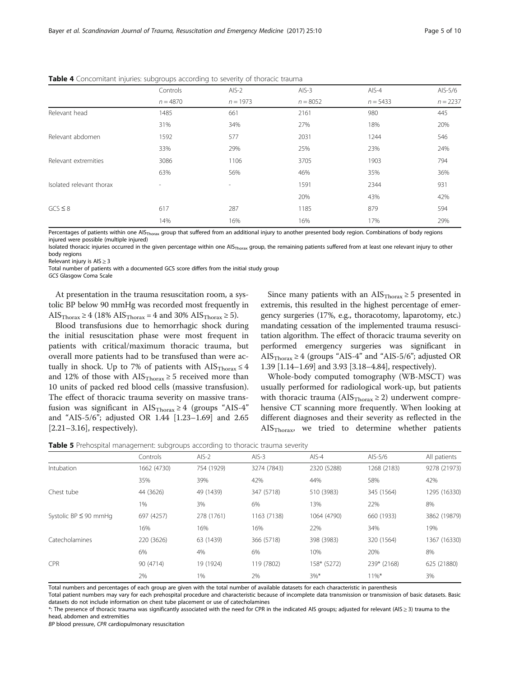|                          | Controls   | $AIS-2$        | $AIS-3$    | $AIS-4$    | AIS-5/6    |
|--------------------------|------------|----------------|------------|------------|------------|
|                          | $n = 4870$ | $n = 1973$     | $n = 8052$ | $n = 5433$ | $n = 2237$ |
| Relevant head            | 1485       | 661            | 2161       | 980        | 445        |
|                          | 31%        | 34%            | 27%        | 18%        | 20%        |
| Relevant abdomen         | 1592       | 577            | 2031       | 1244       | 546        |
|                          | 33%        | 29%            | 25%        | 23%        | 24%        |
| Relevant extremities     | 3086       | 1106           | 3705       | 1903       | 794        |
|                          | 63%        | 56%            | 46%        | 35%        | 36%        |
| Isolated relevant thorax | $\sim$     | $\overline{a}$ | 1591       | 2344       | 931        |
|                          |            |                | 20%        | 43%        | 42%        |
| $GCS \leq 8$             | 617        | 287            | 1185       | 879        | 594        |
|                          | 14%        | 16%            | 16%        | 17%        | 29%        |

<span id="page-4-0"></span>**Table 4** Concomitant injuries: subgroups according to severity of thoracic trauma

Percentages of patients within one AIS<sub>Thorax</sub> group that suffered from an additional injury to another presented body region. Combinations of body regions injured were possible (multiple injured)

Isolated thoracic injuries occurred in the given percentage within one AIS<sub>Thorax</sub> group, the remaining patients suffered from at least one relevant injury to other body regions

Relevant injury is  $AIS \geq 3$ 

Total number of patients with a documented GCS score differs from the initial study group

GCS Glasgow Coma Scale

At presentation in the trauma resuscitation room, a systolic BP below 90 mmHg was recorded most frequently in AIS $_{\text{Thorax}} \geq 4$  (18% AIS $_{\text{Thorax}} = 4$  and 30% AIS $_{\text{Thorax}} \geq 5$ ).

Blood transfusions due to hemorrhagic shock during the initial resuscitation phase were most frequent in patients with critical/maximum thoracic trauma, but overall more patients had to be transfused than were actually in shock. Up to 7% of patients with  $\text{AIS}_{\text{Thorax}} \leq 4$ and 12% of those with  $\text{AIS}_{\text{Thorax}} \geq 5$  received more than 10 units of packed red blood cells (massive transfusion). The effect of thoracic trauma severity on massive transfusion was significant in  $\text{AIS}_{\text{Thorax}} \geq 4$  (groups "AIS-4" and "AIS-5/6"; adjusted OR 1.44 [1.23–1.69] and 2.65 [2.21–3.16], respectively).

Since many patients with an  $\text{AIS}_{\text{Thorax}} \geq 5$  presented in extremis, this resulted in the highest percentage of emergency surgeries (17%, e.g., thoracotomy, laparotomy, etc.) mandating cessation of the implemented trauma resuscitation algorithm. The effect of thoracic trauma severity on performed emergency surgeries was significant in AIS<sub>Thorax</sub>  $\geq$  4 (groups "AIS-4" and "AIS-5/6"; adjusted OR 1.39 [1.14–1.69] and 3.93 [3.18–4.84], respectively).

Whole-body computed tomography (WB-MSCT) was usually performed for radiological work-up, but patients with thoracic trauma ( $AIS<sub>Thorax</sub> \ge 2$ ) underwent comprehensive CT scanning more frequently. When looking at different diagnoses and their severity as reflected in the AISThorax, we tried to determine whether patients

**Table 5** Prehospital management: subgroups according to thoracic trauma severity

|                            | Controls    | $AIS-2$    | $AIS-3$     | $AIS-4$     | AIS-5/6     | All patients |
|----------------------------|-------------|------------|-------------|-------------|-------------|--------------|
| Intubation                 | 1662 (4730) | 754 (1929) | 3274 (7843) | 2320 (5288) | 1268 (2183) | 9278 (21973) |
|                            | 35%         | 39%        | 42%         | 44%         | 58%         | 42%          |
| Chest tube                 | 44 (3626)   | 49 (1439)  | 347 (5718)  | 510 (3983)  | 345 (1564)  | 1295 (16330) |
|                            | 1%          | 3%         | 6%          | 13%         | 22%         | 8%           |
| Systolic BP $\leq$ 90 mmHq | 697 (4257)  | 278 (1761) | 1163 (7138) | 1064 (4790) | 660 (1933)  | 3862 (19879) |
|                            | 16%         | 16%        | 16%         | 22%         | 34%         | 19%          |
| Catecholamines             | 220 (3626)  | 63 (1439)  | 366 (5718)  | 398 (3983)  | 320 (1564)  | 1367 (16330) |
|                            | 6%          | 4%         | 6%          | 10%         | 20%         | 8%           |
| <b>CPR</b>                 | 90 (4714)   | 19 (1924)  | 119 (7802)  | 158* (5272) | 239* (2168) | 625 (21880)  |
|                            | 2%          | 1%         | 2%          | $3\%$ *     | $11\%$ *    | 3%           |

Total numbers and percentages of each group are given with the total number of available datasets for each characteristic in parenthesis

Total patient numbers may vary for each prehospital procedure and characteristic because of incomplete data transmission or transmission of basic datasets. Basic datasets do not include information on chest tube placement or use of catecholamines

\*: The presence of thoracic trauma was significantly associated with the need for CPR in the indicated AIS groups; adjusted for relevant (AIS ≥ 3) trauma to the head, abdomen and extremities

BP blood pressure, CPR cardiopulmonary resuscitation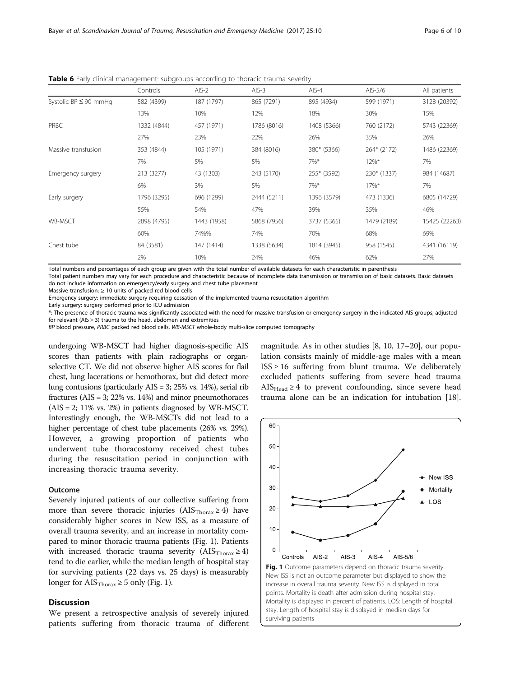|                            | Controls    | $AIS-2$     | $AIS-3$     | $AIS-4$     | AIS-5/6     | All patients  |
|----------------------------|-------------|-------------|-------------|-------------|-------------|---------------|
|                            |             |             |             |             |             |               |
| Systolic BP $\leq$ 90 mmHg | 582 (4399)  | 187 (1797)  | 865 (7291)  | 895 (4934)  | 599 (1971)  | 3128 (20392)  |
|                            | 13%         | 10%         | 12%         | 18%         | 30%         | 15%           |
| <b>PRBC</b>                | 1332 (4844) | 457 (1971)  | 1786 (8016) | 1408 (5366) | 760 (2172)  | 5743 (22369)  |
|                            | 27%         | 23%         | 22%         | 26%         | 35%         | 26%           |
| Massive transfusion        | 353 (4844)  | 105 (1971)  | 384 (8016)  | 380* (5366) | 264* (2172) | 1486 (22369)  |
|                            | 7%          | 5%          | 5%          | 7%*         | $12\%*$     | 7%            |
| Emergency surgery          | 213 (3277)  | 43 (1303)   | 243 (5170)  | 255* (3592) | 230* (1337) | 984 (14687)   |
|                            | 6%          | 3%          | 5%          | $7\%$ *     | $17\%$ *    | 7%            |
| Early surgery              | 1796 (3295) | 696 (1299)  | 2444 (5211) | 1396 (3579) | 473 (1336)  | 6805 (14729)  |
|                            | 55%         | 54%         | 47%         | 39%         | 35%         | 46%           |
| <b>WB-MSCT</b>             | 2898 (4795) | 1443 (1958) | 5868 (7956) | 3737 (5365) | 1479 (2189) | 15425 (22263) |
|                            | 60%         | 74%%        | 74%         | 70%         | 68%         | 69%           |
| Chest tube                 | 84 (3581)   | 147 (1414)  | 1338 (5634) | 1814 (3945) | 958 (1545)  | 4341 (16119)  |
|                            | 2%          | 10%         | 24%         | 46%         | 62%         | 27%           |

<span id="page-5-0"></span>**Table 6** Early clinical management: subgroups according to thoracic trauma severity

Total numbers and percentages of each group are given with the total number of available datasets for each characteristic in parenthesis

Total patient numbers may vary for each procedure and characteristic because of incomplete data transmission or transmission of basic datasets. Basic datasets do not include information on emergency/early surgery and chest tube placement

Massive transfusion:  $\geq 10$  units of packed red blood cells

Emergency surgery: immediate surgery requiring cessation of the implemented trauma resuscitation algorithm

Early surgery: surgery performed prior to ICU admission

\*: The presence of thoracic trauma was significantly associated with the need for massive transfusion or emergency surgery in the indicated AIS groups; adjusted for relevant ( $AIS \geq 3$ ) trauma to the head, abdomen and extremities

BP blood pressure, PRBC packed red blood cells, WB-MSCT whole-body multi-slice computed tomography

undergoing WB-MSCT had higher diagnosis-specific AIS scores than patients with plain radiographs or organselective CT. We did not observe higher AIS scores for flail chest, lung lacerations or hemothorax, but did detect more lung contusions (particularly AIS = 3; 25% vs. 14%), serial rib fractures  $(AIS = 3; 22\%$  vs. 14%) and minor pneumothoraces  $(AIS = 2; 11\%$  vs. 2%) in patients diagnosed by WB-MSCT. Interestingly enough, the WB-MSCTs did not lead to a higher percentage of chest tube placements (26% vs. 29%). However, a growing proportion of patients who underwent tube thoracostomy received chest tubes during the resuscitation period in conjunction with increasing thoracic trauma severity.

## Outcome

Severely injured patients of our collective suffering from more than severe thoracic injuries ( $AIS<sub>Thorax</sub> \ge 4$ ) have considerably higher scores in New ISS, as a measure of overall trauma severity, and an increase in mortality compared to minor thoracic trauma patients (Fig. 1). Patients with increased thoracic trauma severity  $(AIS<sub>Thorax</sub> \ge 4)$ tend to die earlier, while the median length of hospital stay for surviving patients (22 days vs. 25 days) is measurably longer for  $\text{AIS}_{\text{Thorax}} \geq 5$  only (Fig. 1).

# **Discussion**

We present a retrospective analysis of severely injured patients suffering from thoracic trauma of different

magnitude. As in other studies [[8, 10, 17](#page-8-0)–[20](#page-8-0)], our population consists mainly of middle-age males with a mean  $ISS \geq 16$  suffering from blunt trauma. We deliberately excluded patients suffering from severe head trauma  $AIS_{Head} \ge 4$  to prevent confounding, since severe head trauma alone can be an indication for intubation [\[18](#page-8-0)].

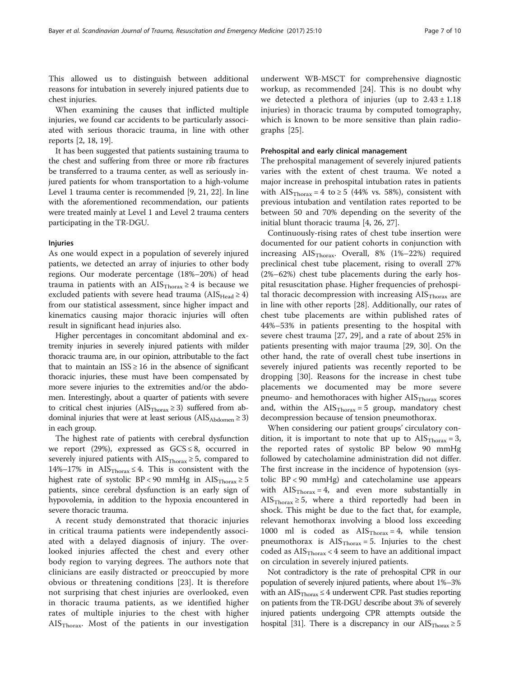This allowed us to distinguish between additional reasons for intubation in severely injured patients due to chest injuries.

When examining the causes that inflicted multiple injuries, we found car accidents to be particularly associated with serious thoracic trauma, in line with other reports [[2, 18, 19\]](#page-8-0).

It has been suggested that patients sustaining trauma to the chest and suffering from three or more rib fractures be transferred to a trauma center, as well as seriously injured patients for whom transportation to a high-volume Level 1 trauma center is recommended [[9](#page-8-0), [21](#page-8-0), [22](#page-8-0)]. In line with the aforementioned recommendation, our patients were treated mainly at Level 1 and Level 2 trauma centers participating in the TR-DGU.

#### Injuries

As one would expect in a population of severely injured patients, we detected an array of injuries to other body regions. Our moderate percentage (18%–20%) of head trauma in patients with an  $\text{AIS}_{\text{Thorax}} \geq 4$  is because we excluded patients with severe head trauma ( $\text{AIS}_{\text{Head}} \geq 4$ ) from our statistical assessment, since higher impact and kinematics causing major thoracic injuries will often result in significant head injuries also.

Higher percentages in concomitant abdominal and extremity injuries in severely injured patients with milder thoracic trauma are, in our opinion, attributable to the fact that to maintain an  $ISS \geq 16$  in the absence of significant thoracic injuries, these must have been compensated by more severe injuries to the extremities and/or the abdomen. Interestingly, about a quarter of patients with severe to critical chest injuries ( $\text{AIS}_{\text{Thorax}} \geq 3$ ) suffered from abdominal injuries that were at least serious ( $\text{AIS}_{\text{Abdomen}} \geq 3$ ) in each group.

The highest rate of patients with cerebral dysfunction we report (29%), expressed as  $GCS \leq 8$ , occurred in severely injured patients with  $\text{AIS}_{\text{Thorax}} \geq 5$ , compared to 14%–17% in AIS $_{\text{Thorax}} \leq 4$ . This is consistent with the highest rate of systolic BP < 90 mmHg in  $\text{AIS}_{\text{Thorax}} \geq 5$ patients, since cerebral dysfunction is an early sign of hypovolemia, in addition to the hypoxia encountered in severe thoracic trauma.

A recent study demonstrated that thoracic injuries in critical trauma patients were independently associated with a delayed diagnosis of injury. The overlooked injuries affected the chest and every other body region to varying degrees. The authors note that clinicians are easily distracted or preoccupied by more obvious or threatening conditions [[23\]](#page-8-0). It is therefore not surprising that chest injuries are overlooked, even in thoracic trauma patients, as we identified higher rates of multiple injuries to the chest with higher  $\text{AIS}_{\text{Thorax}}$ . Most of the patients in our investigation

underwent WB-MSCT for comprehensive diagnostic workup, as recommended [[24\]](#page-8-0). This is no doubt why we detected a plethora of injuries (up to  $2.43 \pm 1.18$ ) injuries) in thoracic trauma by computed tomography, which is known to be more sensitive than plain radiographs [[25\]](#page-8-0).

#### Prehospital and early clinical management

The prehospital management of severely injured patients varies with the extent of chest trauma. We noted a major increase in prehospital intubation rates in patients with  $\text{AIS}_{\text{Thoray}} = 4$  to  $\geq 5$  (44% vs. 58%), consistent with previous intubation and ventilation rates reported to be between 50 and 70% depending on the severity of the initial blunt thoracic trauma [[4, 26](#page-8-0), [27](#page-8-0)].

Continuously-rising rates of chest tube insertion were documented for our patient cohorts in conjunction with increasing  $\text{AIS}_{\text{Thorax}}$ . Overall, 8% (1%–22%) required preclinical chest tube placement, rising to overall 27% (2%–62%) chest tube placements during the early hospital resuscitation phase. Higher frequencies of prehospital thoracic decompression with increasing  $\text{AIS}_{\text{Thorax}}$  are in line with other reports [\[28](#page-8-0)]. Additionally, our rates of chest tube placements are within published rates of 44%–53% in patients presenting to the hospital with severe chest trauma [[27](#page-8-0), [29\]](#page-8-0), and a rate of about 25% in patients presenting with major trauma [[29](#page-8-0), [30](#page-8-0)]. On the other hand, the rate of overall chest tube insertions in severely injured patients was recently reported to be dropping [\[30\]](#page-8-0). Reasons for the increase in chest tube placements we documented may be more severe pneumo- and hemothoraces with higher  $\text{AIS}_{\text{Thorax}}$  scores and, within the  $\text{AIS}_{\text{Thorax}} = 5$  group, mandatory chest decompression because of tension pneumothorax.

When considering our patient groups' circulatory condition, it is important to note that up to  $\text{AIS}_{\text{Thorax}} = 3$ , the reported rates of systolic BP below 90 mmHg followed by catecholamine administration did not differ. The first increase in the incidence of hypotension (systolic BP < 90 mmHg) and catecholamine use appears with  $\text{AIS}_{\text{Thorax}} = 4$ , and even more substantially in AIS<sub>Thorax</sub>  $\geq$  5, where a third reportedly had been in shock. This might be due to the fact that, for example, relevant hemothorax involving a blood loss exceeding 1000 ml is coded as  $\text{AIS}_{\text{Thorax}} = 4$ , while tension pneumothorax is  $\text{AIS}_{\text{Thorax}} = 5$ . Injuries to the chest coded as  $\text{AIS}_{\text{Thorax}}$  < 4 seem to have an additional impact on circulation in severely injured patients.

Not contradictory is the rate of prehospital CPR in our population of severely injured patients, where about 1%–3% with an  $\text{AIS}_{\text{Thorax}} \leq 4$  underwent CPR. Past studies reporting on patients from the TR-DGU describe about 3% of severely injured patients undergoing CPR attempts outside the hospital [[31\]](#page-8-0). There is a discrepancy in our  $\text{AIS}_{\text{Thorax}} \geq 5$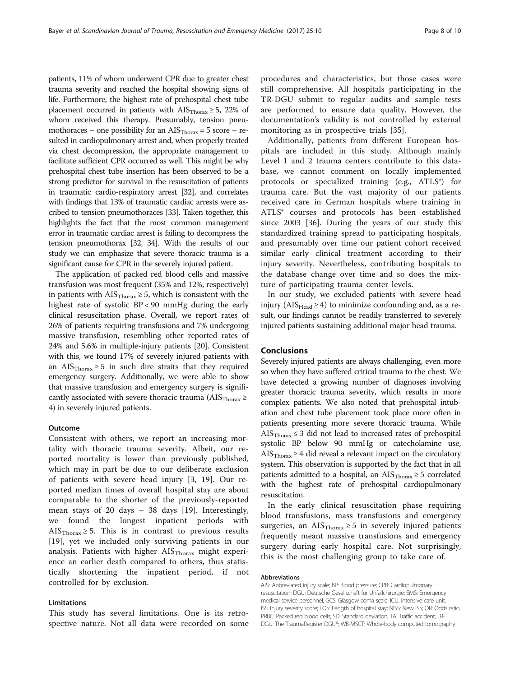patients, 11% of whom underwent CPR due to greater chest trauma severity and reached the hospital showing signs of life. Furthermore, the highest rate of prehospital chest tube placement occurred in patients with  $\text{AIS}_{\text{Thorax}} \geq 5$ , 22% of whom received this therapy. Presumably, tension pneumothoraces – one possibility for an  $\text{AIS}_{\text{Thorax}} = 5$  score – resulted in cardiopulmonary arrest and, when properly treated via chest decompression, the appropriate management to facilitate sufficient CPR occurred as well. This might be why prehospital chest tube insertion has been observed to be a strong predictor for survival in the resuscitation of patients in traumatic cardio-respiratory arrest [[32\]](#page-8-0), and correlates with findings that 13% of traumatic cardiac arrests were ascribed to tension pneumothoraces [\[33\]](#page-8-0). Taken together, this highlights the fact that the most common management error in traumatic cardiac arrest is failing to decompress the tension pneumothorax [\[32,](#page-8-0) [34](#page-9-0)]. With the results of our study we can emphasize that severe thoracic trauma is a significant cause for CPR in the severely injured patient.

The application of packed red blood cells and massive transfusion was most frequent (35% and 12%, respectively) in patients with  $\text{AIS}_{\text{Thorax}} \geq 5$ , which is consistent with the highest rate of systolic BP < 90 mmHg during the early clinical resuscitation phase. Overall, we report rates of 26% of patients requiring transfusions and 7% undergoing massive transfusion, resembling other reported rates of 24% and 5.6% in multiple-injury patients [[20](#page-8-0)]. Consistent with this, we found 17% of severely injured patients with an AIS<sub>Thorax</sub>  $\geq$  5 in such dire straits that they required emergency surgery. Additionally, we were able to show that massive transfusion and emergency surgery is significantly associated with severe thoracic trauma ( $\text{AIS}_{\text{Thorax}} \geq$ 4) in severely injured patients.

#### **Outcome**

Consistent with others, we report an increasing mortality with thoracic trauma severity. Albeit, our reported mortality is lower than previously published, which may in part be due to our deliberate exclusion of patients with severe head injury [\[3](#page-8-0), [19](#page-8-0)]. Our reported median times of overall hospital stay are about comparable to the shorter of the previously-reported mean stays of 20 days – 38 days [\[19\]](#page-8-0). Interestingly, we found the longest inpatient periods with AIS $_{\text{Thorax}} \geq 5$ . This is in contrast to previous results [[19\]](#page-8-0), yet we included only surviving patients in our analysis. Patients with higher  $\text{AIS}_{\text{Thorax}}$  might experience an earlier death compared to others, thus statistically shortening the inpatient period, if not controlled for by exclusion.

#### Limitations

This study has several limitations. One is its retrospective nature. Not all data were recorded on some

procedures and characteristics, but those cases were still comprehensive. All hospitals participating in the TR-DGU submit to regular audits and sample tests are performed to ensure data quality. However, the documentation's validity is not controlled by external monitoring as in prospective trials [\[35](#page-9-0)].

Additionally, patients from different European hospitals are included in this study. Although mainly Level 1 and 2 trauma centers contribute to this database, we cannot comment on locally implemented protocols or specialized training (e.g., ATLS®) for trauma care. But the vast majority of our patients received care in German hospitals where training in ATLS® courses and protocols has been established since 2003 [\[36](#page-9-0)]. During the years of our study this standardized training spread to participating hospitals, and presumably over time our patient cohort received similar early clinical treatment according to their injury severity. Nevertheless, contributing hospitals to the database change over time and so does the mixture of participating trauma center levels.

In our study, we excluded patients with severe head injury ( $\text{AIS}_{\text{Head}} \geq 4$ ) to minimize confounding and, as a result, our findings cannot be readily transferred to severely injured patients sustaining additional major head trauma.

## Conclusions

Severely injured patients are always challenging, even more so when they have suffered critical trauma to the chest. We have detected a growing number of diagnoses involving greater thoracic trauma severity, which results in more complex patients. We also noted that prehospital intubation and chest tube placement took place more often in patients presenting more severe thoracic trauma. While  $AIS<sub>Thorax</sub> \leq 3$  did not lead to increased rates of prehospital systolic BP below 90 mmHg or catecholamine use, AIS $_{\text{Thorax}} \geq 4$  did reveal a relevant impact on the circulatory system. This observation is supported by the fact that in all patients admitted to a hospital, an  $\text{AIS}_{\text{Thorax}} \geq 5$  correlated with the highest rate of prehospital cardiopulmonary resuscitation.

In the early clinical resuscitation phase requiring blood transfusions, mass transfusions and emergency surgeries, an AIS $_{\text{Thorax}} \geq 5$  in severely injured patients frequently meant massive transfusions and emergency surgery during early hospital care. Not surprisingly, this is the most challenging group to take care of.

#### Abbreviations

AIS: Abbreviated injury scale; BP: Blood pressure; CPR: Cardiopulmonary resuscitation; DGU: Deutsche Gesellschaft für Unfallchirurgie; EMS: Emergency medical service personnel; GCS: Glasgow coma scale; ICU: Intensive care unit; ISS: Injury severity score; LOS: Length of hospital stay; NISS: New ISS; OR: Odds ratio; PRBC: Packed red blood cells; SD: Standard deviation; TA: Traffic accident; TR-DGU: The TraumaRegister DGU®; WB-MSCT: Whole-body computed tomography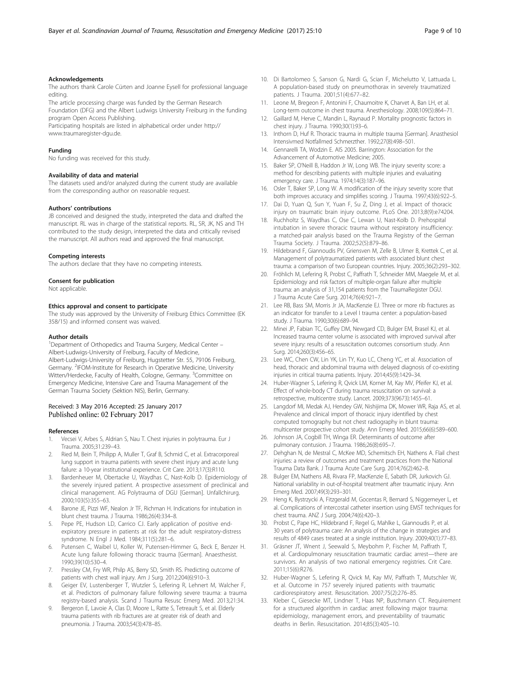#### <span id="page-8-0"></span>Acknowledgements

The authors thank Carole Cürten and Joanne Eysell for professional language editing.

The article processing charge was funded by the German Research Foundation (DFG) and the Albert Ludwigs University Freiburg in the funding program Open Access Publishing.

Participating hospitals are listed in alphabetical order under [http://](http://www.traumaregister-dgu.de) [www.traumaregister-dgu.de.](http://www.traumaregister-dgu.de)

#### Funding

No funding was received for this study.

#### Availability of data and material

The datasets used and/or analyzed during the current study are available from the corresponding author on reasonable request.

#### Authors' contributions

JB conceived and designed the study, interpreted the data and drafted the manuscript. RL was in charge of the statistical reports. RL, SR, JK, NS and TH contributed to the study design, interpreted the data and critically revised the manuscript. All authors read and approved the final manuscript.

#### Competing interests

The authors declare that they have no competing interests.

#### Consent for publication

Not applicable.

#### Ethics approval and consent to participate

The study was approved by the University of Freiburg Ethics Committee (EK 358/15) and informed consent was waived.

#### Author details

<sup>1</sup>Department of Orthopedics and Trauma Surgery, Medical Center -Albert-Ludwigs-University of Freiburg, Faculty of Medicine, Albert-Ludwigs-University of Freiburg, Hugstetter Str. 55, 79106 Freiburg, Germany. <sup>2</sup>IFOM-Institute for Research in Operative Medicine, University Witten/Herdecke, Faculty of Health, Cologne, Germany. <sup>3</sup>Committee on Emergency Medicine, Intensive Care and Trauma Management of the German Trauma Society (Sektion NIS), Berlin, Germany.

#### Received: 3 May 2016 Accepted: 25 January 2017 Published online: 02 February 2017

#### References

- 1. Vecsei V, Arbes S, Aldrian S, Nau T. Chest injuries in polytrauma. Eur J Trauma. 2005;31:239–43.
- 2. Ried M, Bein T, Philipp A, Muller T, Graf B, Schmid C, et al. Extracorporeal lung support in trauma patients with severe chest injury and acute lung failure: a 10-year institutional experience. Crit Care. 2013;17(3):R110.
- 3. Bardenheuer M, Obertacke U, Waydhas C, Nast-Kolb D. Epidemiology of the severely injured patient. A prospective assessment of preclinical and clinical management. AG Polytrauma of DGU [German]. Unfallchirurg. 2000;103(5):355–63.
- 4. Barone JE, Pizzi WF, Nealon Jr TF, Richman H. Indications for intubation in blunt chest trauma. J Trauma. 1986;26(4):334–8.
- Pepe PE, Hudson LD, Carrico CJ. Early application of positive endexpiratory pressure in patients at risk for the adult respiratory-distress syndrome. N Engl J Med. 1984;311(5):281–6.
- Putensen C, Waibel U, Koller W, Putensen-Himmer G, Beck E, Benzer H. Acute lung failure following thoracic trauma [German]. Anaesthesist. 1990;39(10):530–4.
- 7. Pressley CM, Fry WR, Philp AS, Berry SD, Smith RS. Predicting outcome of patients with chest wall injury. Am J Surg. 2012;204(6):910–3.
- Geiger EV, Lustenberger T, Wutzler S, Lefering R, Lehnert M, Walcher F, et al. Predictors of pulmonary failure following severe trauma: a trauma registry-based analysis. Scand J Trauma Resusc Emerg Med. 2013;21:34.
- 9. Bergeron E, Lavoie A, Clas D, Moore L, Ratte S, Tetreault S, et al. Elderly trauma patients with rib fractures are at greater risk of death and pneumonia. J Trauma. 2003;54(3):478–85.
- 10. Di Bartolomeo S, Sanson G, Nardi G, Scian F, Michelutto V, Lattuada L. A population-based study on pneumothorax in severely traumatized patients. J Trauma. 2001;51(4):677–82.
- 11. Leone M, Bregeon F, Antonini F, Chaumoitre K, Charvet A, Ban LH, et al. Long-term outcome in chest trauma. Anesthesiology. 2008;109(5):864–71.
- 12. Gaillard M, Herve C, Mandin L, Raynaud P. Mortality prognostic factors in chest injury. J Trauma. 1990;30(1):93–6.
- 13. Inthorn D, Huf R. Thoracic trauma in multiple trauma [German]. Anasthesiol Intensivmed Notfallmed Schmerzther. 1992;27(8):498–501.
- 14. Gennarelli TA, Wodzin E. AIS 2005. Barrington: Association for the Advancement of Automotive Medicine; 2005.
- 15. Baker SP, O'Neill B, Haddon Jr W, Long WB. The injury severity score: a method for describing patients with multiple injuries and evaluating emergency care. J Trauma. 1974;14(3):187–96.
- 16. Osler T, Baker SP, Long W. A modification of the injury severity score that both improves accuracy and simplifies scoring. J Trauma. 1997;43(6):922–5.
- 17. Dai D, Yuan Q, Sun Y, Yuan F, Su Z, Ding J, et al. Impact of thoracic injury on traumatic brain injury outcome. PLoS One. 2013;8(9):e74204.
- 18. Ruchholtz S, Waydhas C, Ose C, Lewan U, Nast-Kolb D. Prehospital intubation in severe thoracic trauma without respiratory insufficiency: a matched-pair analysis based on the Trauma Registry of the German Trauma Society. J Trauma. 2002;52(5):879–86.
- 19. Hildebrand F, Giannoudis PV, Griensven M, Zelle B, Ulmer B, Krettek C, et al. Management of polytraumatized patients with associated blunt chest trauma: a comparison of two European countries. Injury. 2005;36(2):293–302.
- 20. Fröhlich M, Lefering R, Probst C, Paffrath T, Schneider MM, Maegele M, et al. Epidemiology and risk factors of multiple-organ failure after multiple trauma: an analysis of 31,154 patients from the TraumaRegister DGU. J Trauma Acute Care Surg. 2014;76(4):921–7.
- 21. Lee RB, Bass SM, Morris Jr JA, MacKenzie EJ. Three or more rib fractures as an indicator for transfer to a Level I trauma center: a population-based study. J Trauma. 1990;30(6):689–94.
- 22. Minei JP, Fabian TC, Guffey DM, Newgard CD, Bulger EM, Brasel KJ, et al. Increased trauma center volume is associated with improved survival after severe injury: results of a resuscitation outcomes consortium study. Ann Surg. 2014;260(3):456–65.
- 23. Lee WC, Chen CW, Lin YK, Lin TY, Kuo LC, Cheng YC, et al. Association of head, thoracic and abdominal trauma with delayed diagnosis of co-existing injuries in critical trauma patients. Injury. 2014;45(9):1429–34.
- 24. Huber-Wagner S, Lefering R, Qvick LM, Korner M, Kay MV, Pfeifer KJ, et al. Effect of whole-body CT during trauma resuscitation on survival: a retrospective, multicentre study. Lancet. 2009;373(9673):1455–61.
- 25. Langdorf MI, Medak AJ, Hendey GW, Nishijima DK, Mower WR, Raja AS, et al. Prevalence and clinical import of thoracic injury identified by chest computed tomography but not chest radiography in blunt trauma: multicenter prospective cohort study. Ann Emerg Med. 2015;66(6):589–600.
- 26. Johnson JA, Cogbill TH, Winga ER. Determinants of outcome after pulmonary contusion. J Trauma. 1986;26(8):695–7.
- 27. Dehghan N, de Mestral C, McKee MD, Schemitsch EH, Nathens A. Flail chest injuries: a review of outcomes and treatment practices from the National Trauma Data Bank. J Trauma Acute Care Surg. 2014;76(2):462–8.
- 28. Bulger EM, Nathens AB, Rivara FP, MacKenzie E, Sabath DR, Jurkovich GJ. National variability in out-of-hospital treatment after traumatic injury. Ann Emerg Med. 2007;49(3):293–301.
- 29. Heng K, Bystrzycki A, Fitzgerald M, Gocentas R, Bernard S, Niggemeyer L, et al. Complications of intercostal catheter insertion using EMST techniques for chest trauma. ANZ J Surg. 2004;74(6):420–3.
- 30. Probst C, Pape HC, Hildebrand F, Regel G, Mahlke L, Giannoudis P, et al. 30 years of polytrauma care: An analysis of the change in strategies and results of 4849 cases treated at a single institution. Injury. 2009;40(1):77–83.
- 31. Gräsner JT, Wnent J, Seewald S, Meybohm P, Fischer M, Paffrath T, et al. Cardiopulmonary resuscitation traumatic cardiac arrest—there are survivors. An analysis of two national emergency registries. Crit Care. 2011;15(6):R276.
- 32. Huber-Wagner S, Lefering R, Qvick M, Kay MV, Paffrath T, Mutschler W, et al. Outcome in 757 severely injured patients with traumatic cardiorespiratory arrest. Resuscitation. 2007;75(2):276–85.
- 33. Kleber C, Giesecke MT, Lindner T, Haas NP, Buschmann CT. Requirement for a structured algorithm in cardiac arrest following major trauma: epidemiology, management errors, and preventability of traumatic deaths in Berlin. Resuscitation. 2014;85(3):405–10.